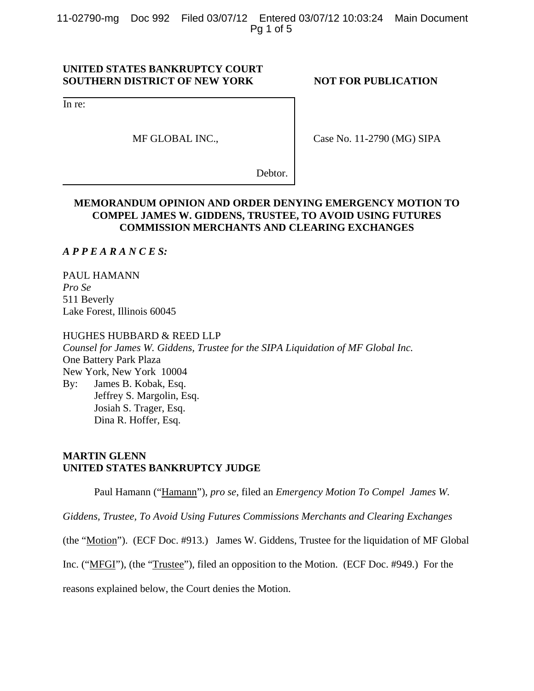11-02790-mg Doc 992 Filed 03/07/12 Entered 03/07/12 10:03:24 Main Document Pg 1 of 5

## **UNITED STATES BANKRUPTCY COURT SOUTHERN DISTRICT OF NEW YORK NOT FOR PUBLICATION**

In re:

MF GLOBAL INC.,

Case No. 11-2790 (MG) SIPA

Debtor.

## **MEMORANDUM OPINION AND ORDER DENYING EMERGENCY MOTION TO COMPEL JAMES W. GIDDENS, TRUSTEE, TO AVOID USING FUTURES COMMISSION MERCHANTS AND CLEARING EXCHANGES**

*A P P E A R A N C E S:*

PAUL HAMANN *Pro Se* 511 Beverly Lake Forest, Illinois 60045

#### HUGHES HUBBARD & REED LLP

*Counsel for James W. Giddens, Trustee for the SIPA Liquidation of MF Global Inc.*  One Battery Park Plaza New York, New York 10004 By: James B. Kobak, Esq. Jeffrey S. Margolin, Esq. Josiah S. Trager, Esq. Dina R. Hoffer, Esq.

# **MARTIN GLENN UNITED STATES BANKRUPTCY JUDGE**

Paul Hamann ("Hamann"), *pro se*, filed an *Emergency Motion To Compel James W.* 

*Giddens, Trustee, To Avoid Using Futures Commissions Merchants and Clearing Exchanges*

(the "Motion"). (ECF Doc. #913.) James W. Giddens, Trustee for the liquidation of MF Global

Inc. ("MFGI"), (the "Trustee"), filed an opposition to the Motion. (ECF Doc. #949.) For the

reasons explained below, the Court denies the Motion.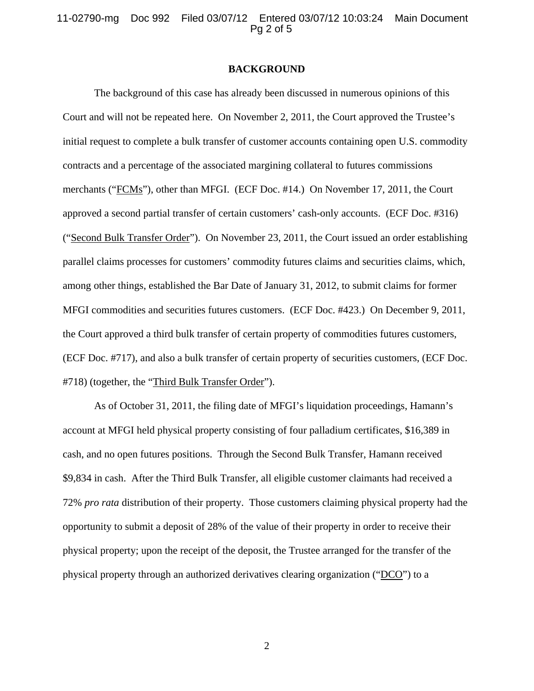11-02790-mg Doc 992 Filed 03/07/12 Entered 03/07/12 10:03:24 Main Document Pg 2 of 5

#### **BACKGROUND**

The background of this case has already been discussed in numerous opinions of this Court and will not be repeated here. On November 2, 2011, the Court approved the Trustee's initial request to complete a bulk transfer of customer accounts containing open U.S. commodity contracts and a percentage of the associated margining collateral to futures commissions merchants ("FCMs"), other than MFGI. (ECF Doc. #14.) On November 17, 2011, the Court approved a second partial transfer of certain customers' cash-only accounts. (ECF Doc. #316) ("Second Bulk Transfer Order"). On November 23, 2011, the Court issued an order establishing parallel claims processes for customers' commodity futures claims and securities claims, which, among other things, established the Bar Date of January 31, 2012, to submit claims for former MFGI commodities and securities futures customers. (ECF Doc. #423.) On December 9, 2011, the Court approved a third bulk transfer of certain property of commodities futures customers, (ECF Doc. #717), and also a bulk transfer of certain property of securities customers, (ECF Doc. #718) (together, the "Third Bulk Transfer Order").

As of October 31, 2011, the filing date of MFGI's liquidation proceedings, Hamann's account at MFGI held physical property consisting of four palladium certificates, \$16,389 in cash, and no open futures positions. Through the Second Bulk Transfer, Hamann received \$9,834 in cash. After the Third Bulk Transfer, all eligible customer claimants had received a 72% *pro rata* distribution of their property. Those customers claiming physical property had the opportunity to submit a deposit of 28% of the value of their property in order to receive their physical property; upon the receipt of the deposit, the Trustee arranged for the transfer of the physical property through an authorized derivatives clearing organization ("DCO") to a

2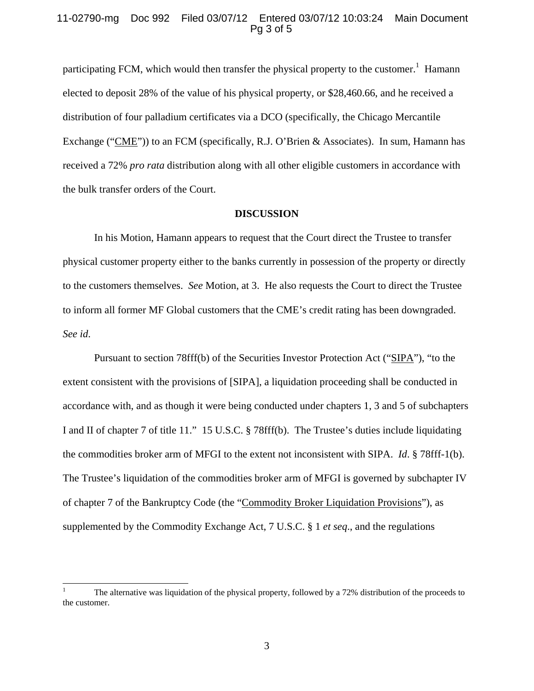## 11-02790-mg Doc 992 Filed 03/07/12 Entered 03/07/12 10:03:24 Main Document Pg 3 of 5

participating FCM, which would then transfer the physical property to the customer.<sup>1</sup> Hamann elected to deposit 28% of the value of his physical property, or \$28,460.66, and he received a distribution of four palladium certificates via a DCO (specifically, the Chicago Mercantile Exchange ("CME")) to an FCM (specifically, R.J. O'Brien & Associates). In sum, Hamann has received a 72% *pro rata* distribution along with all other eligible customers in accordance with the bulk transfer orders of the Court.

#### **DISCUSSION**

In his Motion, Hamann appears to request that the Court direct the Trustee to transfer physical customer property either to the banks currently in possession of the property or directly to the customers themselves. *See* Motion, at 3. He also requests the Court to direct the Trustee to inform all former MF Global customers that the CME's credit rating has been downgraded. *See id*.

Pursuant to section 78fff(b) of the Securities Investor Protection Act ("SIPA"), "to the extent consistent with the provisions of [SIPA], a liquidation proceeding shall be conducted in accordance with, and as though it were being conducted under chapters 1, 3 and 5 of subchapters I and II of chapter 7 of title 11." 15 U.S.C. § 78fff(b). The Trustee's duties include liquidating the commodities broker arm of MFGI to the extent not inconsistent with SIPA. *Id*. § 78fff-1(b). The Trustee's liquidation of the commodities broker arm of MFGI is governed by subchapter IV of chapter 7 of the Bankruptcy Code (the "Commodity Broker Liquidation Provisions"), as supplemented by the Commodity Exchange Act, 7 U.S.C. § 1 *et seq*., and the regulations

<sup>|&</sup>lt;br>|<br>| The alternative was liquidation of the physical property, followed by a 72% distribution of the proceeds to the customer.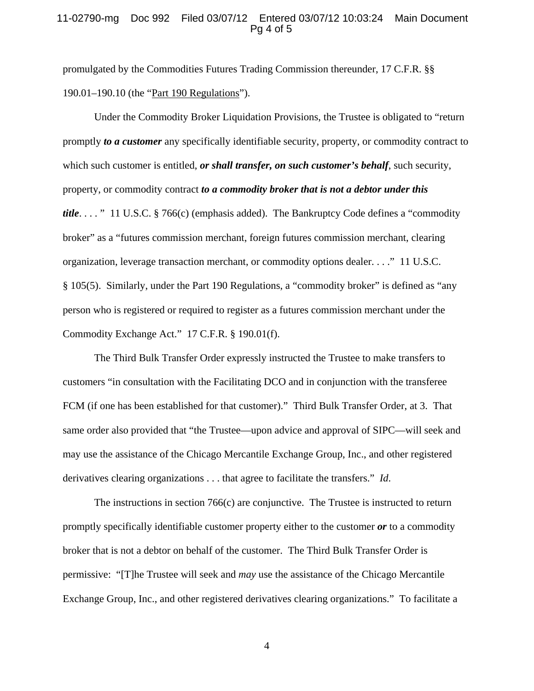## 11-02790-mg Doc 992 Filed 03/07/12 Entered 03/07/12 10:03:24 Main Document Pg 4 of 5

promulgated by the Commodities Futures Trading Commission thereunder, 17 C.F.R. §§ 190.01–190.10 (the "Part 190 Regulations").

Under the Commodity Broker Liquidation Provisions, the Trustee is obligated to "return promptly *to a customer* any specifically identifiable security, property, or commodity contract to which such customer is entitled, *or shall transfer, on such customer's behalf*, such security, property, or commodity contract *to a commodity broker that is not a debtor under this title*. . . . " 11 U.S.C. § 766(c) (emphasis added). The Bankruptcy Code defines a "commodity broker" as a "futures commission merchant, foreign futures commission merchant, clearing organization, leverage transaction merchant, or commodity options dealer. . . ." 11 U.S.C. § 105(5). Similarly, under the Part 190 Regulations, a "commodity broker" is defined as "any person who is registered or required to register as a futures commission merchant under the Commodity Exchange Act." 17 C.F.R. § 190.01(f).

The Third Bulk Transfer Order expressly instructed the Trustee to make transfers to customers "in consultation with the Facilitating DCO and in conjunction with the transferee FCM (if one has been established for that customer)." Third Bulk Transfer Order, at 3. That same order also provided that "the Trustee—upon advice and approval of SIPC—will seek and may use the assistance of the Chicago Mercantile Exchange Group, Inc., and other registered derivatives clearing organizations . . . that agree to facilitate the transfers." *Id*.

The instructions in section 766(c) are conjunctive. The Trustee is instructed to return promptly specifically identifiable customer property either to the customer *or* to a commodity broker that is not a debtor on behalf of the customer. The Third Bulk Transfer Order is permissive: "[T]he Trustee will seek and *may* use the assistance of the Chicago Mercantile Exchange Group, Inc., and other registered derivatives clearing organizations." To facilitate a

4